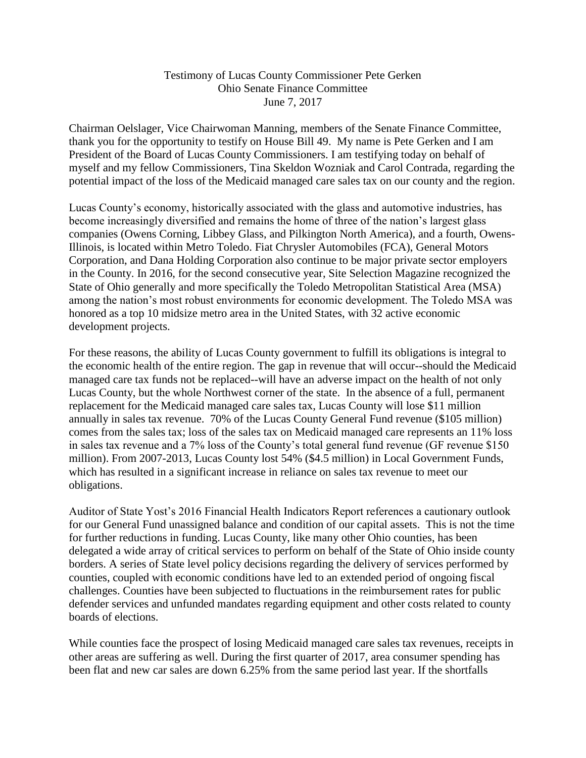## Testimony of Lucas County Commissioner Pete Gerken Ohio Senate Finance Committee June 7, 2017

Chairman Oelslager, Vice Chairwoman Manning, members of the Senate Finance Committee, thank you for the opportunity to testify on House Bill 49. My name is Pete Gerken and I am President of the Board of Lucas County Commissioners. I am testifying today on behalf of myself and my fellow Commissioners, Tina Skeldon Wozniak and Carol Contrada, regarding the potential impact of the loss of the Medicaid managed care sales tax on our county and the region.

Lucas County's economy, historically associated with the glass and automotive industries, has become increasingly diversified and remains the home of three of the nation's largest glass companies (Owens Corning, Libbey Glass, and Pilkington North America), and a fourth, Owens-Illinois, is located within Metro Toledo. Fiat Chrysler Automobiles (FCA), General Motors Corporation, and Dana Holding Corporation also continue to be major private sector employers in the County. In 2016, for the second consecutive year, Site Selection Magazine recognized the State of Ohio generally and more specifically the Toledo Metropolitan Statistical Area (MSA) among the nation's most robust environments for economic development. The Toledo MSA was honored as a top 10 midsize metro area in the United States, with 32 active economic development projects.

For these reasons, the ability of Lucas County government to fulfill its obligations is integral to the economic health of the entire region. The gap in revenue that will occur--should the Medicaid managed care tax funds not be replaced--will have an adverse impact on the health of not only Lucas County, but the whole Northwest corner of the state. In the absence of a full, permanent replacement for the Medicaid managed care sales tax, Lucas County will lose \$11 million annually in sales tax revenue. 70% of the Lucas County General Fund revenue (\$105 million) comes from the sales tax; loss of the sales tax on Medicaid managed care represents an 11% loss in sales tax revenue and a 7% loss of the County's total general fund revenue (GF revenue \$150 million). From 2007-2013, Lucas County lost 54% (\$4.5 million) in Local Government Funds, which has resulted in a significant increase in reliance on sales tax revenue to meet our obligations.

Auditor of State Yost's 2016 Financial Health Indicators Report references a cautionary outlook for our General Fund unassigned balance and condition of our capital assets. This is not the time for further reductions in funding. Lucas County, like many other Ohio counties, has been delegated a wide array of critical services to perform on behalf of the State of Ohio inside county borders. A series of State level policy decisions regarding the delivery of services performed by counties, coupled with economic conditions have led to an extended period of ongoing fiscal challenges. Counties have been subjected to fluctuations in the reimbursement rates for public defender services and unfunded mandates regarding equipment and other costs related to county boards of elections.

While counties face the prospect of losing Medicaid managed care sales tax revenues, receipts in other areas are suffering as well. During the first quarter of 2017, area consumer spending has been flat and new car sales are down 6.25% from the same period last year. If the shortfalls